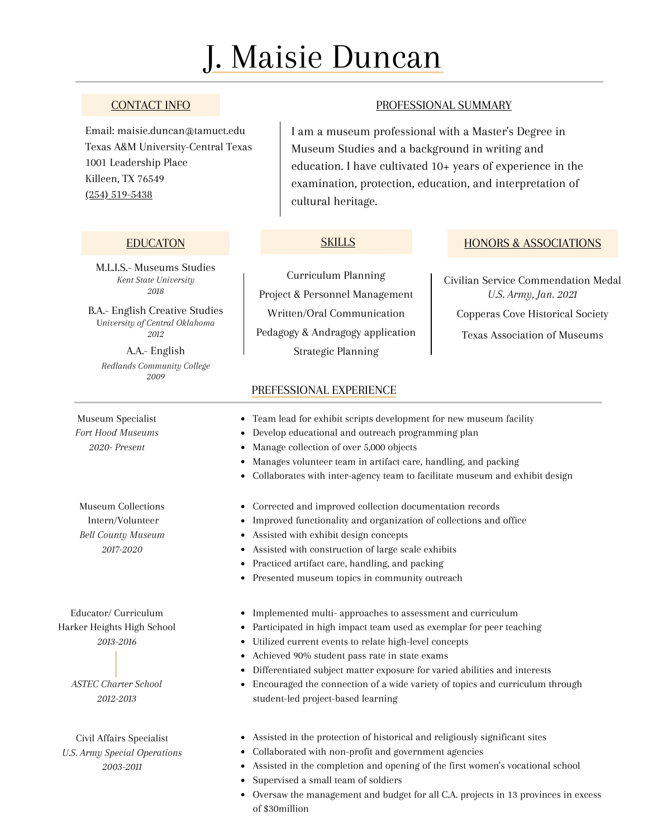# J. Maisie Duncan

# CONTACT INFO

Email: maisie.duncan@tamuct.edu Texas A&M University-Central Texas 1001 Leadership Place Killeen, TX 76549 (254) [519-5438](https://www.google.com/search?q=texas+A%26M+central+texas#)

M.L.I.S.- Museums Studies *Kent State University 2018*

B.A.- English Creative Studies U*niversity of Central Oklahoma 2012*

A.A.- English *Redlands Community College 2009*

Museum Specialist *Fort Hood Museums 2020- Present*

Museum Collections Intern/Volunteer *Bell County Museum 2017-2020*

Educator/ Curriculum Harker Heights High School *2013-2016*

> *ASTEC Charter School 2012-2013*

Civil Affairs Specialist *U.S. Army Special Operations 2003-2011*

# PROFESSIONAL SUMMARY

I am a museum professional with a Master's Degree in Museum Studies and a background in writing and education. I have cultivated 10+ years of experience in the examination, protection, education, and interpretation of cultural heritage.

## **SKILLS**

Curriculum Planning Project & Personnel Management Written/Oral Communication Pedagogy & Andragogy application Strategic Planning

## EDUCATON SKILLS HONORS & ASSOCIATIONS

Civilian Service Commendation Medal *U.S. Army, Jan. 2021* Copperas Cove Historical Society Texas Association of Museums

#### PREFESSIONAL EXPERIENCE

- Team lead for exhibit scripts development for new museum facility
- Develop educational and outreach programming plan  $\bullet$
- Manage collection of over 5,000 objects
- Manages volunteer team in artifact care, handling, and packing  $\bullet$
- Collaborates with inter-agency team to facilitate museum and exhibit design  $\bullet$
- Corrected and improved collection documentation records
- Improved functionality and organization of collections and office
- Assisted with exhibit design concepts
- Assisted with construction of large scale exhibits
- $\bullet$ Practiced artifact care, handling, and packing
- Presented museum topics in community outreach  $\bullet$
- Implemented multi- approaches to assessment and curriculum
- Participated in high impact team used as exemplar for peer teaching  $\bullet$
- Utilized current events to relate high-level concepts
- Achieved 90% student pass rate in state exams
- Differentiated subject matter exposure for varied abilities and interests  $\bullet$
- $\bullet$ Encouraged the connection of a wide variety of topics and curriculum through student-led project-based learning
- Assisted in the protection of historical and religiously significant sites
- Collaborated with non-profit and government agencies
- Assisted in the completion and opening of the first women's vocational school
- Supervised a small team of soldiers
- Oversaw the management and budget for all C.A. projects in 13 provinces in excess of \$30million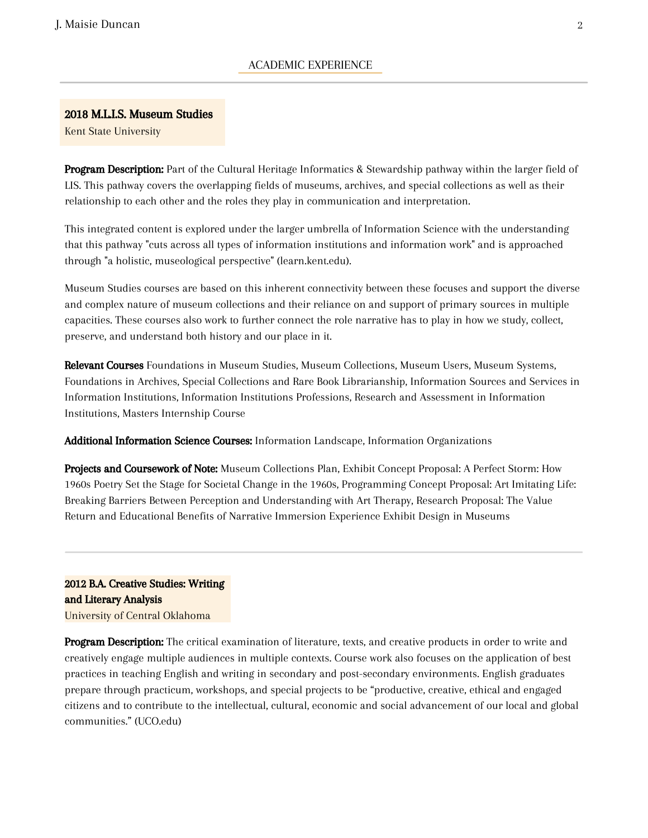#### 2018 M.L.I.S. Museum Studies

Kent State University

Program Description: Part of the Cultural Heritage Informatics & Stewardship pathway within the larger field of LIS. This pathway covers the overlapping fields of museums, archives, and special collections as well as their relationship to each other and the roles they play in communication and interpretation.

This integrated content is explored under the larger umbrella of Information Science with the understanding that this pathway "cuts across all types of information institutions and information work" and is approached through "a holistic, museological perspective" (learn.kent.edu).

Museum Studies courses are based on this inherent connectivity between these focuses and support the diverse and complex nature of museum collections and their reliance on and support of primary sources in multiple capacities. These courses also work to further connect the role narrative has to play in how we study, collect, preserve, and understand both history and our place in it.

Relevant Courses Foundations in Museum Studies, Museum Collections, Museum Users, Museum Systems, Foundations in Archives, Special Collections and Rare Book Librarianship, Information Sources and Services in Information Institutions, Information Institutions Professions, Research and Assessment in Information Institutions, Masters Internship Course

Additional Information Science Courses: Information Landscape, Information Organizations

Projects and Coursework of Note: Museum Collections Plan, Exhibit Concept Proposal: A Perfect Storm: How 1960s Poetry Set the Stage for Societal Change in the 1960s, Programming Concept Proposal: Art Imitating Life: Breaking Barriers Between Perception and Understanding with Art Therapy, Research Proposal: The Value Return and Educational Benefits of Narrative Immersion Experience Exhibit Design in Museums

2012 B.A. Creative Studies: Writing and Literary Analysis University of Central Oklahoma

**Program Description:** The critical examination of literature, texts, and creative products in order to write and creatively engage multiple audiences in multiple contexts. Course work also focuses on the application of best practices in teaching English and writing in secondary and post-secondary environments. English graduates prepare through practicum, workshops, and special projects to be "productive, creative, ethical and engaged citizens and to contribute to the intellectual, cultural, economic and social advancement of our local and global communities." (UCO.edu)